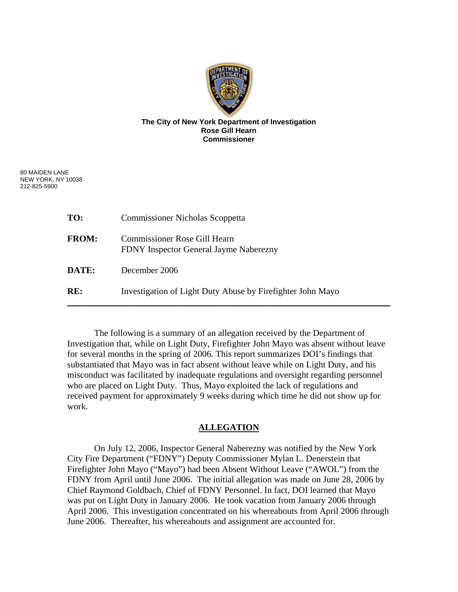

## **The City of New York Department of Investigation Rose Gill Hearn Commissioner**

80 MAIDEN LANE NEW YORK, NY 10038 212-825-5900

| TO:          | <b>Commissioner Nicholas Scoppetta</b>                                 |
|--------------|------------------------------------------------------------------------|
| <b>FROM:</b> | Commissioner Rose Gill Hearn<br>FDNY Inspector General Jayme Naberezny |
| DATE:        | December 2006                                                          |
| RE:          | Investigation of Light Duty Abuse by Firefighter John Mayo             |

 The following is a summary of an allegation received by the Department of Investigation that, while on Light Duty, Firefighter John Mayo was absent without leave for several months in the spring of 2006. This report summarizes DOI's findings that substantiated that Mayo was in fact absent without leave while on Light Duty, and his misconduct was facilitated by inadequate regulations and oversight regarding personnel who are placed on Light Duty. Thus, Mayo exploited the lack of regulations and received payment for approximately 9 weeks during which time he did not show up for work.

# **ALLEGATION**

 On July 12, 2006, Inspector General Naberezny was notified by the New York City Fire Department ("FDNY") Deputy Commissioner Mylan L. Denerstein that Firefighter John Mayo ("Mayo") had been Absent Without Leave ("AWOL") from the FDNY from April until June 2006. The initial allegation was made on June 28, 2006 by Chief Raymond Goldbach, Chief of FDNY Personnel. In fact, DOI learned that Mayo was put on Light Duty in January 2006. He took vacation from January 2006 through April 2006. This investigation concentrated on his whereabouts from April 2006 through June 2006. Thereafter, his whereabouts and assignment are accounted for.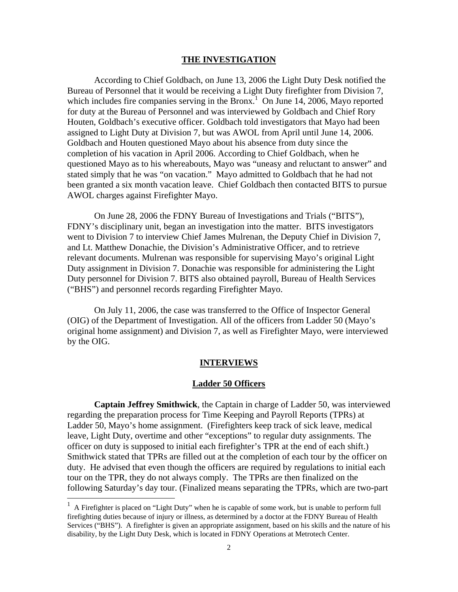#### **THE INVESTIGATION**

 According to Chief Goldbach, on June 13, 2006 the Light Duty Desk notified the Bureau of Personnel that it would be receiving a Light Duty firefighter from Division 7, which includes fire companies serving in the Bronx.<sup>1</sup> On June 14, 2006, Mayo reported for duty at the Bureau of Personnel and was interviewed by Goldbach and Chief Rory Houten, Goldbach's executive officer. Goldbach told investigators that Mayo had been assigned to Light Duty at Division 7, but was AWOL from April until June 14, 2006. Goldbach and Houten questioned Mayo about his absence from duty since the completion of his vacation in April 2006. According to Chief Goldbach, when he questioned Mayo as to his whereabouts, Mayo was "uneasy and reluctant to answer" and stated simply that he was "on vacation." Mayo admitted to Goldbach that he had not been granted a six month vacation leave. Chief Goldbach then contacted BITS to pursue AWOL charges against Firefighter Mayo.

 On June 28, 2006 the FDNY Bureau of Investigations and Trials ("BITS"), FDNY's disciplinary unit, began an investigation into the matter. BITS investigators went to Division 7 to interview Chief James Mulrenan, the Deputy Chief in Division 7, and Lt. Matthew Donachie, the Division's Administrative Officer, and to retrieve relevant documents. Mulrenan was responsible for supervising Mayo's original Light Duty assignment in Division 7. Donachie was responsible for administering the Light Duty personnel for Division 7. BITS also obtained payroll, Bureau of Health Services ("BHS") and personnel records regarding Firefighter Mayo.

 On July 11, 2006, the case was transferred to the Office of Inspector General (OIG) of the Department of Investigation. All of the officers from Ladder 50 (Mayo's original home assignment) and Division 7, as well as Firefighter Mayo, were interviewed by the OIG.

# **INTERVIEWS**

## **Ladder 50 Officers**

**Captain Jeffrey Smithwick**, the Captain in charge of Ladder 50, was interviewed regarding the preparation process for Time Keeping and Payroll Reports (TPRs) at Ladder 50, Mayo's home assignment. (Firefighters keep track of sick leave, medical leave, Light Duty, overtime and other "exceptions" to regular duty assignments. The officer on duty is supposed to initial each firefighter's TPR at the end of each shift.) Smithwick stated that TPRs are filled out at the completion of each tour by the officer on duty. He advised that even though the officers are required by regulations to initial each tour on the TPR, they do not always comply. The TPRs are then finalized on the following Saturday's day tour. (Finalized means separating the TPRs, which are two-part

 $\overline{\phantom{a}}$ 

 $<sup>1</sup>$  A Firefighter is placed on "Light Duty" when he is capable of some work, but is unable to perform full</sup> firefighting duties because of injury or illness, as determined by a doctor at the FDNY Bureau of Health Services ("BHS"). A firefighter is given an appropriate assignment, based on his skills and the nature of his disability, by the Light Duty Desk, which is located in FDNY Operations at Metrotech Center.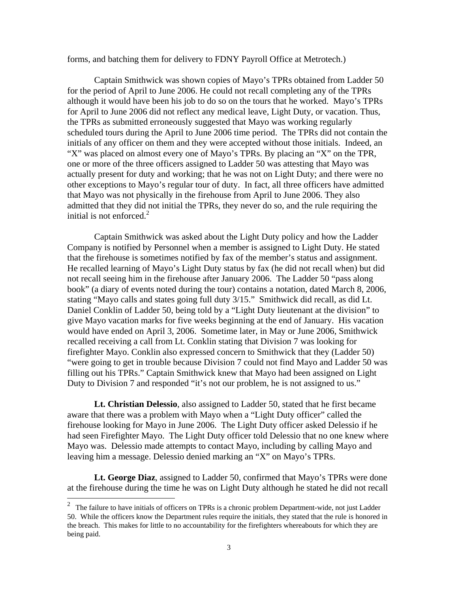forms, and batching them for delivery to FDNY Payroll Office at Metrotech.)

 Captain Smithwick was shown copies of Mayo's TPRs obtained from Ladder 50 for the period of April to June 2006. He could not recall completing any of the TPRs although it would have been his job to do so on the tours that he worked. Mayo's TPRs for April to June 2006 did not reflect any medical leave, Light Duty, or vacation. Thus, the TPRs as submitted erroneously suggested that Mayo was working regularly scheduled tours during the April to June 2006 time period. The TPRs did not contain the initials of any officer on them and they were accepted without those initials. Indeed, an "X" was placed on almost every one of Mayo's TPRs. By placing an "X" on the TPR, one or more of the three officers assigned to Ladder 50 was attesting that Mayo was actually present for duty and working; that he was not on Light Duty; and there were no other exceptions to Mayo's regular tour of duty. In fact, all three officers have admitted that Mayo was not physically in the firehouse from April to June 2006. They also admitted that they did not initial the TPRs, they never do so, and the rule requiring the initial is not enforced. $2$ 

 Captain Smithwick was asked about the Light Duty policy and how the Ladder Company is notified by Personnel when a member is assigned to Light Duty. He stated that the firehouse is sometimes notified by fax of the member's status and assignment. He recalled learning of Mayo's Light Duty status by fax (he did not recall when) but did not recall seeing him in the firehouse after January 2006. The Ladder 50 "pass along book" (a diary of events noted during the tour) contains a notation, dated March 8, 2006, stating "Mayo calls and states going full duty 3/15." Smithwick did recall, as did Lt. Daniel Conklin of Ladder 50, being told by a "Light Duty lieutenant at the division" to give Mayo vacation marks for five weeks beginning at the end of January. His vacation would have ended on April 3, 2006. Sometime later, in May or June 2006, Smithwick recalled receiving a call from Lt. Conklin stating that Division 7 was looking for firefighter Mayo. Conklin also expressed concern to Smithwick that they (Ladder 50) "were going to get in trouble because Division 7 could not find Mayo and Ladder 50 was filling out his TPRs." Captain Smithwick knew that Mayo had been assigned on Light Duty to Division 7 and responded "it's not our problem, he is not assigned to us."

**Lt. Christian Delessio**, also assigned to Ladder 50, stated that he first became aware that there was a problem with Mayo when a "Light Duty officer" called the firehouse looking for Mayo in June 2006. The Light Duty officer asked Delessio if he had seen Firefighter Mayo. The Light Duty officer told Delessio that no one knew where Mayo was. Delessio made attempts to contact Mayo, including by calling Mayo and leaving him a message. Delessio denied marking an "X" on Mayo's TPRs.

**Lt. George Diaz**, assigned to Ladder 50, confirmed that Mayo's TPRs were done at the firehouse during the time he was on Light Duty although he stated he did not recall

 $\overline{\phantom{a}}$ 

<sup>&</sup>lt;sup>2</sup> The failure to have initials of officers on TPRs is a chronic problem Department-wide, not just Ladder 50. While the officers know the Department rules require the initials, they stated that the rule is honored in the breach. This makes for little to no accountability for the firefighters whereabouts for which they are being paid.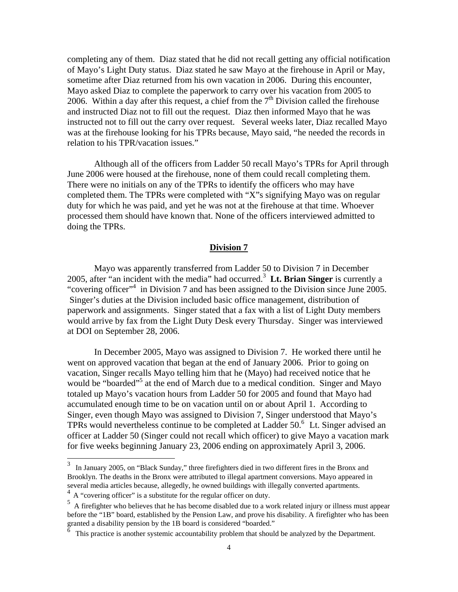completing any of them. Diaz stated that he did not recall getting any official notification of Mayo's Light Duty status. Diaz stated he saw Mayo at the firehouse in April or May, sometime after Diaz returned from his own vacation in 2006. During this encounter, Mayo asked Diaz to complete the paperwork to carry over his vacation from 2005 to 2006. Within a day after this request, a chief from the  $7<sup>th</sup>$  Division called the firehouse and instructed Diaz not to fill out the request. Diaz then informed Mayo that he was instructed not to fill out the carry over request. Several weeks later, Diaz recalled Mayo was at the firehouse looking for his TPRs because, Mayo said, "he needed the records in relation to his TPR/vacation issues."

 Although all of the officers from Ladder 50 recall Mayo's TPRs for April through June 2006 were housed at the firehouse, none of them could recall completing them. There were no initials on any of the TPRs to identify the officers who may have completed them. The TPRs were completed with "X"s signifying Mayo was on regular duty for which he was paid, and yet he was not at the firehouse at that time. Whoever processed them should have known that. None of the officers interviewed admitted to doing the TPRs.

## **Division 7**

 Mayo was apparently transferred from Ladder 50 to Division 7 in December 2005, after "an incident with the media" had occurred.<sup>3</sup> **Lt. Brian Singer** is currently a "covering officer"<sup>4</sup> in Division 7 and has been assigned to the Division since June 2005. Singer's duties at the Division included basic office management, distribution of paperwork and assignments. Singer stated that a fax with a list of Light Duty members would arrive by fax from the Light Duty Desk every Thursday. Singer was interviewed at DOI on September 28, 2006.

 In December 2005, Mayo was assigned to Division 7. He worked there until he went on approved vacation that began at the end of January 2006. Prior to going on vacation, Singer recalls Mayo telling him that he (Mayo) had received notice that he would be "boarded"<sup>5</sup> at the end of March due to a medical condition. Singer and Mayo totaled up Mayo's vacation hours from Ladder 50 for 2005 and found that Mayo had accumulated enough time to be on vacation until on or about April 1. According to Singer, even though Mayo was assigned to Division 7, Singer understood that Mayo's TPRs would nevertheless continue to be completed at Ladder  $50<sup>6</sup>$  Lt. Singer advised an officer at Ladder 50 (Singer could not recall which officer) to give Mayo a vacation mark for five weeks beginning January 23, 2006 ending on approximately April 3, 2006.

 $\overline{\phantom{a}}$ 

 $3\,$  In January 2005, on "Black Sunday," three firefighters died in two different fires in the Bronx and Brooklyn. The deaths in the Bronx were attributed to illegal apartment conversions. Mayo appeared in several media articles because, allegedly, he owned buildings with illegally converted apartments.

 $4\,$  A "covering officer" is a substitute for the regular officer on duty.

 $<sup>5</sup>$  A firefighter who believes that he has become disabled due to a work related injury or illness must appear</sup> before the "1B" board, established by the Pension Law, and prove his disability. A firefighter who has been granted a disability pension by the 1B board is considered "boarded."

This practice is another systemic accountability problem that should be analyzed by the Department.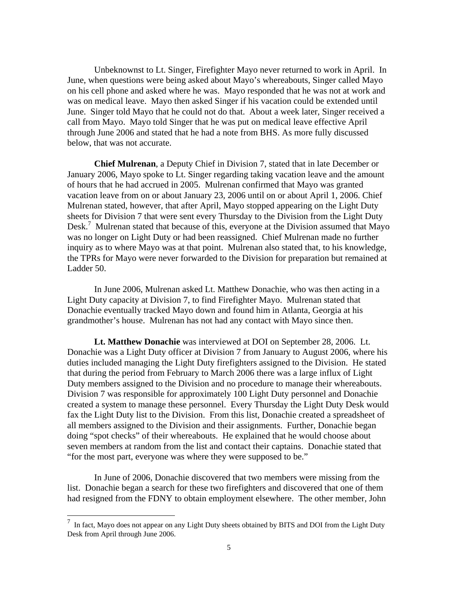Unbeknownst to Lt. Singer, Firefighter Mayo never returned to work in April. In June, when questions were being asked about Mayo's whereabouts, Singer called Mayo on his cell phone and asked where he was. Mayo responded that he was not at work and was on medical leave. Mayo then asked Singer if his vacation could be extended until June. Singer told Mayo that he could not do that. About a week later, Singer received a call from Mayo. Mayo told Singer that he was put on medical leave effective April through June 2006 and stated that he had a note from BHS. As more fully discussed below, that was not accurate.

**Chief Mulrenan**, a Deputy Chief in Division 7, stated that in late December or January 2006, Mayo spoke to Lt. Singer regarding taking vacation leave and the amount of hours that he had accrued in 2005. Mulrenan confirmed that Mayo was granted vacation leave from on or about January 23, 2006 until on or about April 1, 2006. Chief Mulrenan stated, however, that after April, Mayo stopped appearing on the Light Duty sheets for Division 7 that were sent every Thursday to the Division from the Light Duty Desk.<sup>7</sup> Mulrenan stated that because of this, everyone at the Division assumed that Mayo was no longer on Light Duty or had been reassigned. Chief Mulrenan made no further inquiry as to where Mayo was at that point. Mulrenan also stated that, to his knowledge, the TPRs for Mayo were never forwarded to the Division for preparation but remained at Ladder 50.

 In June 2006, Mulrenan asked Lt. Matthew Donachie, who was then acting in a Light Duty capacity at Division 7, to find Firefighter Mayo. Mulrenan stated that Donachie eventually tracked Mayo down and found him in Atlanta, Georgia at his grandmother's house. Mulrenan has not had any contact with Mayo since then.

**Lt. Matthew Donachie** was interviewed at DOI on September 28, 2006. Lt. Donachie was a Light Duty officer at Division 7 from January to August 2006, where his duties included managing the Light Duty firefighters assigned to the Division. He stated that during the period from February to March 2006 there was a large influx of Light Duty members assigned to the Division and no procedure to manage their whereabouts. Division 7 was responsible for approximately 100 Light Duty personnel and Donachie created a system to manage these personnel. Every Thursday the Light Duty Desk would fax the Light Duty list to the Division. From this list, Donachie created a spreadsheet of all members assigned to the Division and their assignments. Further, Donachie began doing "spot checks" of their whereabouts. He explained that he would choose about seven members at random from the list and contact their captains. Donachie stated that "for the most part, everyone was where they were supposed to be."

 In June of 2006, Donachie discovered that two members were missing from the list. Donachie began a search for these two firefighters and discovered that one of them had resigned from the FDNY to obtain employment elsewhere. The other member, John

l

 $<sup>7</sup>$  In fact, Mayo does not appear on any Light Duty sheets obtained by BITS and DOI from the Light Duty</sup> Desk from April through June 2006.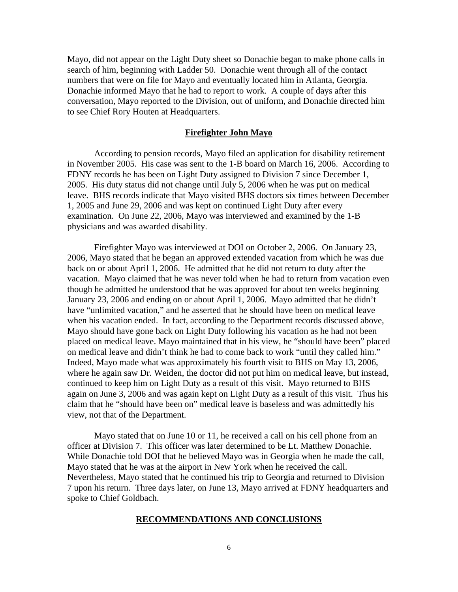Mayo, did not appear on the Light Duty sheet so Donachie began to make phone calls in search of him, beginning with Ladder 50. Donachie went through all of the contact numbers that were on file for Mayo and eventually located him in Atlanta, Georgia. Donachie informed Mayo that he had to report to work. A couple of days after this conversation, Mayo reported to the Division, out of uniform, and Donachie directed him to see Chief Rory Houten at Headquarters.

## **Firefighter John Mayo**

 According to pension records, Mayo filed an application for disability retirement in November 2005. His case was sent to the 1-B board on March 16, 2006. According to FDNY records he has been on Light Duty assigned to Division 7 since December 1, 2005. His duty status did not change until July 5, 2006 when he was put on medical leave. BHS records indicate that Mayo visited BHS doctors six times between December 1, 2005 and June 29, 2006 and was kept on continued Light Duty after every examination. On June 22, 2006, Mayo was interviewed and examined by the 1-B physicians and was awarded disability.

 Firefighter Mayo was interviewed at DOI on October 2, 2006. On January 23, 2006, Mayo stated that he began an approved extended vacation from which he was due back on or about April 1, 2006. He admitted that he did not return to duty after the vacation. Mayo claimed that he was never told when he had to return from vacation even though he admitted he understood that he was approved for about ten weeks beginning January 23, 2006 and ending on or about April 1, 2006. Mayo admitted that he didn't have "unlimited vacation," and he asserted that he should have been on medical leave when his vacation ended. In fact, according to the Department records discussed above, Mayo should have gone back on Light Duty following his vacation as he had not been placed on medical leave. Mayo maintained that in his view, he "should have been" placed on medical leave and didn't think he had to come back to work "until they called him." Indeed, Mayo made what was approximately his fourth visit to BHS on May 13, 2006, where he again saw Dr. Weiden, the doctor did not put him on medical leave, but instead, continued to keep him on Light Duty as a result of this visit. Mayo returned to BHS again on June 3, 2006 and was again kept on Light Duty as a result of this visit. Thus his claim that he "should have been on" medical leave is baseless and was admittedly his view, not that of the Department.

 Mayo stated that on June 10 or 11, he received a call on his cell phone from an officer at Division 7. This officer was later determined to be Lt. Matthew Donachie. While Donachie told DOI that he believed Mayo was in Georgia when he made the call, Mayo stated that he was at the airport in New York when he received the call. Nevertheless, Mayo stated that he continued his trip to Georgia and returned to Division 7 upon his return. Three days later, on June 13, Mayo arrived at FDNY headquarters and spoke to Chief Goldbach.

## **RECOMMENDATIONS AND CONCLUSIONS**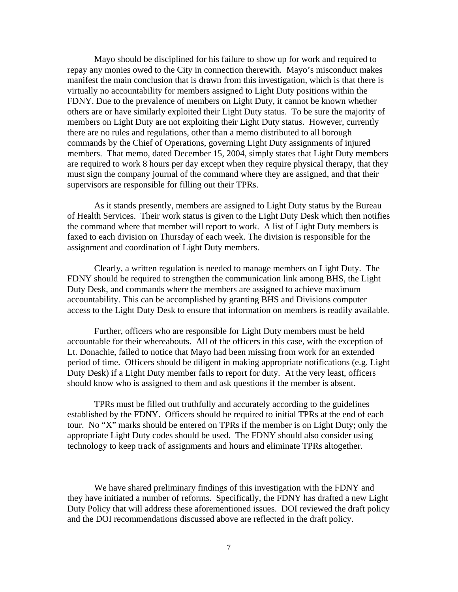Mayo should be disciplined for his failure to show up for work and required to repay any monies owed to the City in connection therewith. Mayo's misconduct makes manifest the main conclusion that is drawn from this investigation, which is that there is virtually no accountability for members assigned to Light Duty positions within the FDNY. Due to the prevalence of members on Light Duty, it cannot be known whether others are or have similarly exploited their Light Duty status. To be sure the majority of members on Light Duty are not exploiting their Light Duty status. However, currently there are no rules and regulations, other than a memo distributed to all borough commands by the Chief of Operations, governing Light Duty assignments of injured members. That memo, dated December 15, 2004, simply states that Light Duty members are required to work 8 hours per day except when they require physical therapy, that they must sign the company journal of the command where they are assigned, and that their supervisors are responsible for filling out their TPRs.

 As it stands presently, members are assigned to Light Duty status by the Bureau of Health Services. Their work status is given to the Light Duty Desk which then notifies the command where that member will report to work. A list of Light Duty members is faxed to each division on Thursday of each week. The division is responsible for the assignment and coordination of Light Duty members.

 Clearly, a written regulation is needed to manage members on Light Duty. The FDNY should be required to strengthen the communication link among BHS, the Light Duty Desk, and commands where the members are assigned to achieve maximum accountability. This can be accomplished by granting BHS and Divisions computer access to the Light Duty Desk to ensure that information on members is readily available.

 Further, officers who are responsible for Light Duty members must be held accountable for their whereabouts. All of the officers in this case, with the exception of Lt. Donachie, failed to notice that Mayo had been missing from work for an extended period of time. Officers should be diligent in making appropriate notifications (e.g. Light Duty Desk) if a Light Duty member fails to report for duty. At the very least, officers should know who is assigned to them and ask questions if the member is absent.

 TPRs must be filled out truthfully and accurately according to the guidelines established by the FDNY. Officers should be required to initial TPRs at the end of each tour. No "X" marks should be entered on TPRs if the member is on Light Duty; only the appropriate Light Duty codes should be used. The FDNY should also consider using technology to keep track of assignments and hours and eliminate TPRs altogether.

 We have shared preliminary findings of this investigation with the FDNY and they have initiated a number of reforms. Specifically, the FDNY has drafted a new Light Duty Policy that will address these aforementioned issues. DOI reviewed the draft policy and the DOI recommendations discussed above are reflected in the draft policy.